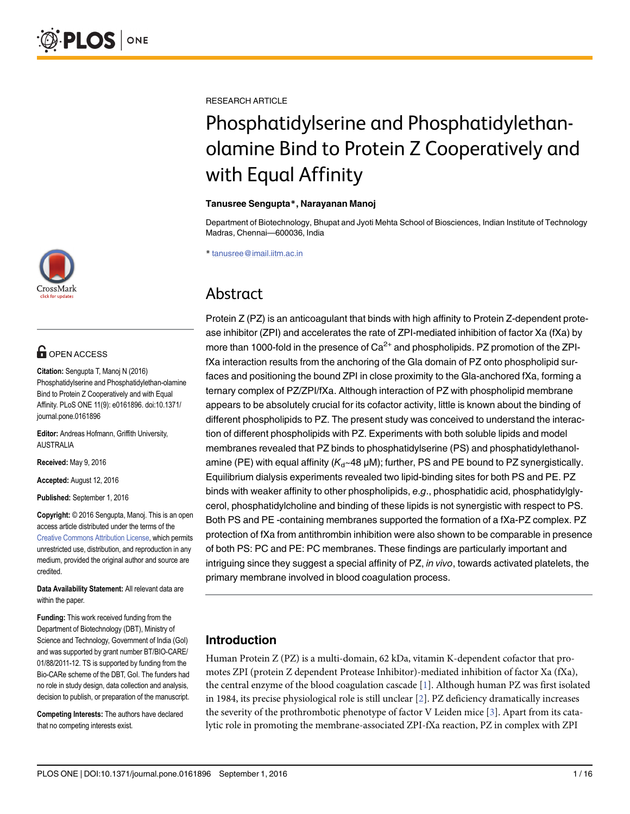

# **G** OPEN ACCESS

Citation: Sengupta T, Manoj N (2016) Phosphatidylserine and Phosphatidylethan-olamine Bind to Protein Z Cooperatively and with Equal Affinity. PLoS ONE 11(9): e0161896. doi:10.1371/ journal.pone.0161896

Editor: Andreas Hofmann, Griffith University, AUSTRALIA

Received: May 9, 2016

Accepted: August 12, 2016

Published: September 1, 2016

Copyright: © 2016 Sengupta, Manoj. This is an open access article distributed under the terms of the [Creative Commons Attribution License,](http://creativecommons.org/licenses/by/4.0/) which permits unrestricted use, distribution, and reproduction in any medium, provided the original author and source are credited.

Data Availability Statement: All relevant data are within the paper.

Funding: This work received funding from the Department of Biotechnology (DBT), Ministry of Science and Technology, Government of India (GoI) and was supported by grant number BT/BIO-CARE/ 01/88/2011-12. TS is supported by funding from the Bio-CARe scheme of the DBT, GoI. The funders had no role in study design, data collection and analysis, decision to publish, or preparation of the manuscript.

Competing Interests: The authors have declared that no competing interests exist.

<span id="page-0-0"></span>RESEARCH ARTICLE

# Phosphatidylserine and Phosphatidylethanolamine Bind to Protein Z Cooperatively and with Equal Affinity

#### Tanusree Sengupta\*, Narayanan Manoj

Department of Biotechnology, Bhupat and Jyoti Mehta School of Biosciences, Indian Institute of Technology Madras, Chennai—600036, India

\* tanusree@imail.iitm.ac.in

# Abstract

Protein Z (PZ) is an anticoagulant that binds with high affinity to Protein Z-dependent protease inhibitor (ZPI) and accelerates the rate of ZPI-mediated inhibition of factor Xa (fXa) by more than 1000-fold in the presence of  $Ca^{2+}$  and phospholipids. PZ promotion of the ZPIfXa interaction results from the anchoring of the Gla domain of PZ onto phospholipid surfaces and positioning the bound ZPI in close proximity to the Gla-anchored fXa, forming a ternary complex of PZ/ZPI/fXa. Although interaction of PZ with phospholipid membrane appears to be absolutely crucial for its cofactor activity, little is known about the binding of different phospholipids to PZ. The present study was conceived to understand the interaction of different phospholipids with PZ. Experiments with both soluble lipids and model membranes revealed that PZ binds to phosphatidylserine (PS) and phosphatidylethanolamine (PE) with equal affinity  $(K_d \sim 48 \,\mu\text{M})$ ; further, PS and PE bound to PZ synergistically. Equilibrium dialysis experiments revealed two lipid-binding sites for both PS and PE. PZ binds with weaker affinity to other phospholipids, e.g., phosphatidic acid, phosphatidylglycerol, phosphatidylcholine and binding of these lipids is not synergistic with respect to PS. Both PS and PE -containing membranes supported the formation of a fXa-PZ complex. PZ protection of fXa from antithrombin inhibition were also shown to be comparable in presence of both PS: PC and PE: PC membranes. These findings are particularly important and intriguing since they suggest a special affinity of PZ, in vivo, towards activated platelets, the primary membrane involved in blood coagulation process.

# Introduction

Human Protein Z (PZ) is a multi-domain, 62 kDa, vitamin K-dependent cofactor that promotes ZPI (protein Z dependent Protease Inhibitor)-mediated inhibition of factor Xa (fXa), the central enzyme of the blood coagulation cascade [\[1\]](#page-13-0). Although human PZ was first isolated in 1984, its precise physiological role is still unclear  $[2]$ . PZ deficiency dramatically increases the severity of the prothrombotic phenotype of factor V Leiden mice [[3\]](#page-13-0). Apart from its catalytic role in promoting the membrane-associated ZPI-fXa reaction, PZ in complex with ZPI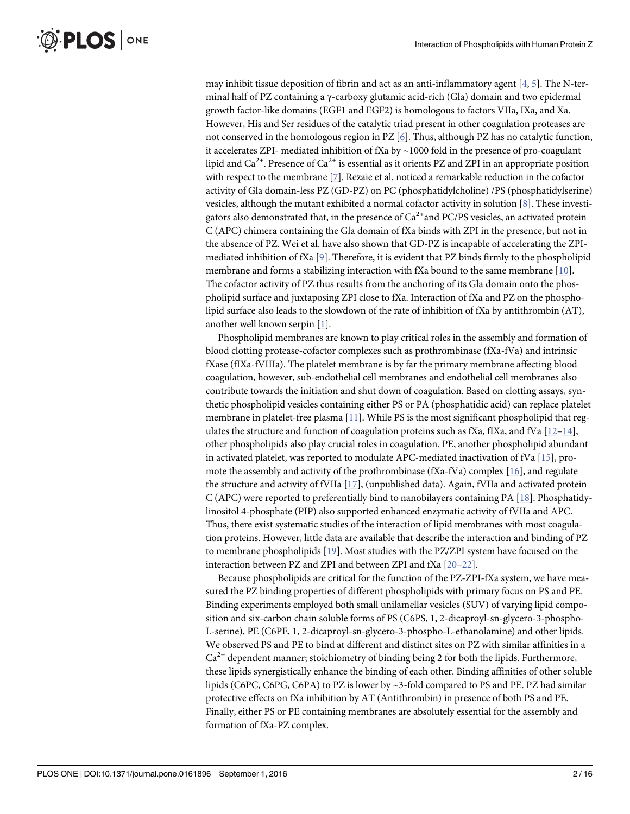<span id="page-1-0"></span>may inhibit tissue deposition of fibrin and act as an anti-inflammatory agent  $[4, 5]$  $[4, 5]$  $[4, 5]$  $[4, 5]$ . The N-terminal half of PZ containing a γ-carboxy glutamic acid-rich (Gla) domain and two epidermal growth factor-like domains (EGF1 and EGF2) is homologous to factors VIIa, IXa, and Xa. However, His and Ser residues of the catalytic triad present in other coagulation proteases are not conserved in the homologous region in PZ [[6\]](#page-14-0). Thus, although PZ has no catalytic function, it accelerates ZPI- mediated inhibition of fXa by  $\sim$  1000 fold in the presence of pro-coagulant lipid and  $Ca^{2+}$ . Presence of  $Ca^{2+}$  is essential as it orients PZ and ZPI in an appropriate position with respect to the membrane [[7\]](#page-14-0). Rezaie et al. noticed a remarkable reduction in the cofactor activity of Gla domain-less PZ (GD-PZ) on PC (phosphatidylcholine) /PS (phosphatidylserine) vesicles, although the mutant exhibited a normal cofactor activity in solution [\[8\]](#page-14-0). These investigators also demonstrated that, in the presence of  $Ca^{2+}$  and PC/PS vesicles, an activated protein C (APC) chimera containing the Gla domain of fXa binds with ZPI in the presence, but not in the absence of PZ. Wei et al. have also shown that GD-PZ is incapable of accelerating the ZPImediated inhibition of fXa [\[9](#page-14-0)]. Therefore, it is evident that PZ binds firmly to the phospholipid membrane and forms a stabilizing interaction with fXa bound to the same membrane  $[10]$ . The cofactor activity of PZ thus results from the anchoring of its Gla domain onto the phospholipid surface and juxtaposing ZPI close to fXa. Interaction of fXa and PZ on the phospholipid surface also leads to the slowdown of the rate of inhibition of fXa by antithrombin (AT), another well known serpin [\[1](#page-13-0)].

Phospholipid membranes are known to play critical roles in the assembly and formation of blood clotting protease-cofactor complexes such as prothrombinase (fXa-fVa) and intrinsic fXase (fIXa-fVIIIa). The platelet membrane is by far the primary membrane affecting blood coagulation, however, sub-endothelial cell membranes and endothelial cell membranes also contribute towards the initiation and shut down of coagulation. Based on clotting assays, synthetic phospholipid vesicles containing either PS or PA (phosphatidic acid) can replace platelet membrane in platelet-free plasma [[11\]](#page-14-0). While PS is the most significant phospholipid that reg-ulates the structure and function of coagulation proteins such as fXa, fIXa, and fVa [\[12](#page-14-0)–[14](#page-14-0)], other phospholipids also play crucial roles in coagulation. PE, another phospholipid abundant in activated platelet, was reported to modulate APC-mediated inactivation of fVa [[15\]](#page-14-0), promote the assembly and activity of the prothrombinase ( $fXa-fVa$ ) complex [\[16\]](#page-14-0), and regulate the structure and activity of fVIIa [[17](#page-14-0)], (unpublished data). Again, fVIIa and activated protein C (APC) were reported to preferentially bind to nanobilayers containing PA [\[18\]](#page-14-0). Phosphatidylinositol 4-phosphate (PIP) also supported enhanced enzymatic activity of fVIIa and APC. Thus, there exist systematic studies of the interaction of lipid membranes with most coagulation proteins. However, little data are available that describe the interaction and binding of PZ to membrane phospholipids  $[19]$  $[19]$  $[19]$ . Most studies with the PZ/ZPI system have focused on the interaction between PZ and ZPI and between ZPI and fXa [[20](#page-14-0)–[22\]](#page-14-0).

Because phospholipids are critical for the function of the PZ-ZPI-fXa system, we have measured the PZ binding properties of different phospholipids with primary focus on PS and PE. Binding experiments employed both small unilamellar vesicles (SUV) of varying lipid composition and six-carbon chain soluble forms of PS (C6PS, 1, 2-dicaproyl-sn-glycero-3-phospho-L-serine), PE (C6PE, 1, 2-dicaproyl-sn-glycero-3-phospho-L-ethanolamine) and other lipids. We observed PS and PE to bind at different and distinct sites on PZ with similar affinities in a  $Ca<sup>2+</sup>$  dependent manner; stoichiometry of binding being 2 for both the lipids. Furthermore, these lipids synergistically enhance the binding of each other. Binding affinities of other soluble lipids (C6PC, C6PG, C6PA) to PZ is lower by ~3-fold compared to PS and PE. PZ had similar protective effects on fXa inhibition by AT (Antithrombin) in presence of both PS and PE. Finally, either PS or PE containing membranes are absolutely essential for the assembly and formation of fXa-PZ complex.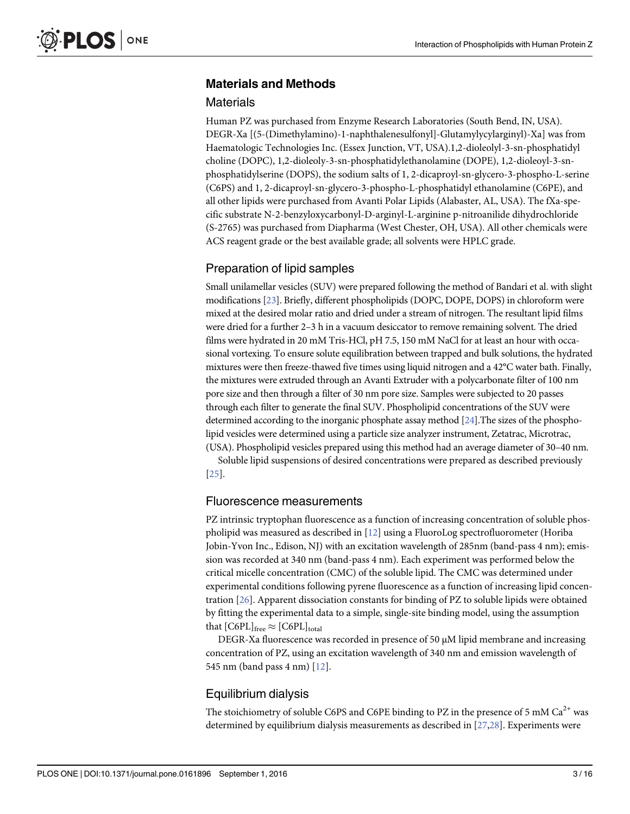# <span id="page-2-0"></span>Materials and Methods

#### **Materials**

Human PZ was purchased from Enzyme Research Laboratories (South Bend, IN, USA). DEGR-Xa [(5-(Dimethylamino)-1-naphthalenesulfonyl]-Glutamylycylarginyl)-Xa] was from Haematologic Technologies Inc. (Essex Junction, VT, USA).1,2-dioleolyl-3-sn-phosphatidyl choline (DOPC), 1,2-dioleoly-3-sn-phosphatidylethanolamine (DOPE), 1,2-dioleoyl-3-snphosphatidylserine (DOPS), the sodium salts of 1, 2-dicaproyl-sn-glycero-3-phospho-L-serine (C6PS) and 1, 2-dicaproyl-sn-glycero-3-phospho-L-phosphatidyl ethanolamine (C6PE), and all other lipids were purchased from Avanti Polar Lipids (Alabaster, AL, USA). The fXa-specific substrate N-2-benzyloxycarbonyl-D-arginyl-L-arginine p-nitroanilide dihydrochloride (S-2765) was purchased from Diapharma (West Chester, OH, USA). All other chemicals were ACS reagent grade or the best available grade; all solvents were HPLC grade.

#### Preparation of lipid samples

Small unilamellar vesicles (SUV) were prepared following the method of Bandari et al. with slight modifications [\[23](#page-14-0)]. Briefly, different phospholipids (DOPC, DOPE, DOPS) in chloroform were mixed at the desired molar ratio and dried under a stream of nitrogen. The resultant lipid films were dried for a further 2–3 h in a vacuum desiccator to remove remaining solvent. The dried films were hydrated in 20 mM Tris-HCl, pH 7.5, 150 mM NaCl for at least an hour with occasional vortexing. To ensure solute equilibration between trapped and bulk solutions, the hydrated mixtures were then freeze-thawed five times using liquid nitrogen and a 42°C water bath. Finally, the mixtures were extruded through an Avanti Extruder with a polycarbonate filter of 100 nm pore size and then through a filter of 30 nm pore size. Samples were subjected to 20 passes through each filter to generate the final SUV. Phospholipid concentrations of the SUV were determined according to the inorganic phosphate assay method [[24](#page-14-0)].The sizes of the phospholipid vesicles were determined using a particle size analyzer instrument, Zetatrac, Microtrac, (USA). Phospholipid vesicles prepared using this method had an average diameter of 30–40 nm.

Soluble lipid suspensions of desired concentrations were prepared as described previously [\[25](#page-15-0)].

#### Fluorescence measurements

PZ intrinsic tryptophan fluorescence as a function of increasing concentration of soluble phospholipid was measured as described in [[12](#page-14-0)] using a FluoroLog spectrofluorometer (Horiba Jobin-Yvon Inc., Edison, NJ) with an excitation wavelength of 285nm (band-pass 4 nm); emission was recorded at 340 nm (band-pass 4 nm). Each experiment was performed below the critical micelle concentration (CMC) of the soluble lipid. The CMC was determined under experimental conditions following pyrene fluorescence as a function of increasing lipid concentration [[26](#page-15-0)]. Apparent dissociation constants for binding of PZ to soluble lipids were obtained by fitting the experimental data to a simple, single-site binding model, using the assumption that  $[C6PL]_{\text{free}} \approx [C6PL]_{\text{total}}$ 

DEGR-Xa fluorescence was recorded in presence of 50  $\mu$ M lipid membrane and increasing concentration of PZ, using an excitation wavelength of 340 nm and emission wavelength of 545 nm (band pass 4 nm)  $[12]$  $[12]$  $[12]$ .

#### Equilibrium dialysis

The stoichiometry of soluble C6PS and C6PE binding to PZ in the presence of 5 mM  $Ca^{2+}$  was determined by equilibrium dialysis measurements as described in  $[27,28]$  $[27,28]$ . Experiments were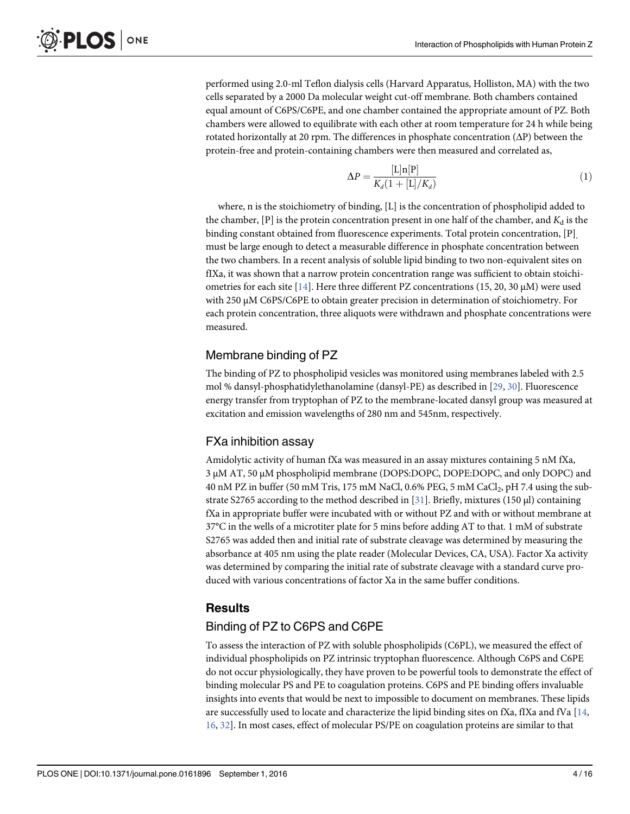<span id="page-3-0"></span>performed using 2.0-ml Teflon dialysis cells (Harvard Apparatus, Holliston, MA) with the two cells separated by a 2000 Da molecular weight cut-off membrane. Both chambers contained equal amount of C6PS/C6PE, and one chamber contained the appropriate amount of PZ. Both chambers were allowed to equilibrate with each other at room temperature for 24 h while being rotated horizontally at 20 rpm. The differences in phosphate concentration  $(\Delta P)$  between the protein-free and protein-containing chambers were then measured and correlated as,

$$
\Delta P = \frac{[\text{L}]\text{n}[\text{P}]}{K_d(1 + [\text{L}]/K_d)}\tag{1}
$$

where, n is the stoichiometry of binding, [L] is the concentration of phospholipid added to the chamber,  $[P]$  is the protein concentration present in one half of the chamber, and  $K_d$  is the binding constant obtained from fluorescence experiments. Total protein concentration, [P] must be large enough to detect a measurable difference in phosphate concentration between the two chambers. In a recent analysis of soluble lipid binding to two non-equivalent sites on fIXa, it was shown that a narrow protein concentration range was sufficient to obtain stoichi-ometries for each site [[14](#page-14-0)]. Here three different PZ concentrations (15, 20, 30  $\mu$ M) were used with 250 μM C6PS/C6PE to obtain greater precision in determination of stoichiometry. For each protein concentration, three aliquots were withdrawn and phosphate concentrations were measured.

# Membrane binding of PZ

The binding of PZ to phospholipid vesicles was monitored using membranes labeled with 2.5 mol % dansyl-phosphatidylethanolamine (dansyl-PE) as described in [\[29,](#page-15-0) [30\]](#page-15-0). Fluorescence energy transfer from tryptophan of PZ to the membrane-located dansyl group was measured at excitation and emission wavelengths of 280 nm and 545nm, respectively.

# FXa inhibition assay

Amidolytic activity of human fXa was measured in an assay mixtures containing 5 nM fXa, 3 μM AT, 50 μM phospholipid membrane (DOPS:DOPC, DOPE:DOPC, and only DOPC) and 40 nM PZ in buffer (50 mM Tris, 175 mM NaCl, 0.6% PEG, 5 mM CaCl<sub>2</sub>, pH 7.4 using the sub-strate S2765 according to the method described in [\[31\]](#page-15-0). Briefly, mixtures (150  $\mu$ l) containing fXa in appropriate buffer were incubated with or without PZ and with or without membrane at 37°C in the wells of a microtiter plate for 5 mins before adding AT to that. 1 mM of substrate S2765 was added then and initial rate of substrate cleavage was determined by measuring the absorbance at 405 nm using the plate reader (Molecular Devices, CA, USA). Factor Xa activity was determined by comparing the initial rate of substrate cleavage with a standard curve produced with various concentrations of factor Xa in the same buffer conditions.

# Results

# Binding of PZ to C6PS and C6PE

To assess the interaction of PZ with soluble phospholipids (C6PL), we measured the effect of individual phospholipids on PZ intrinsic tryptophan fluorescence. Although C6PS and C6PE do not occur physiologically, they have proven to be powerful tools to demonstrate the effect of binding molecular PS and PE to coagulation proteins. C6PS and PE binding offers invaluable insights into events that would be next to impossible to document on membranes. These lipids are successfully used to locate and characterize the lipid binding sites on fXa, fIXa and fVa [\[14,](#page-14-0) [16,](#page-14-0) [32\]](#page-15-0). In most cases, effect of molecular PS/PE on coagulation proteins are similar to that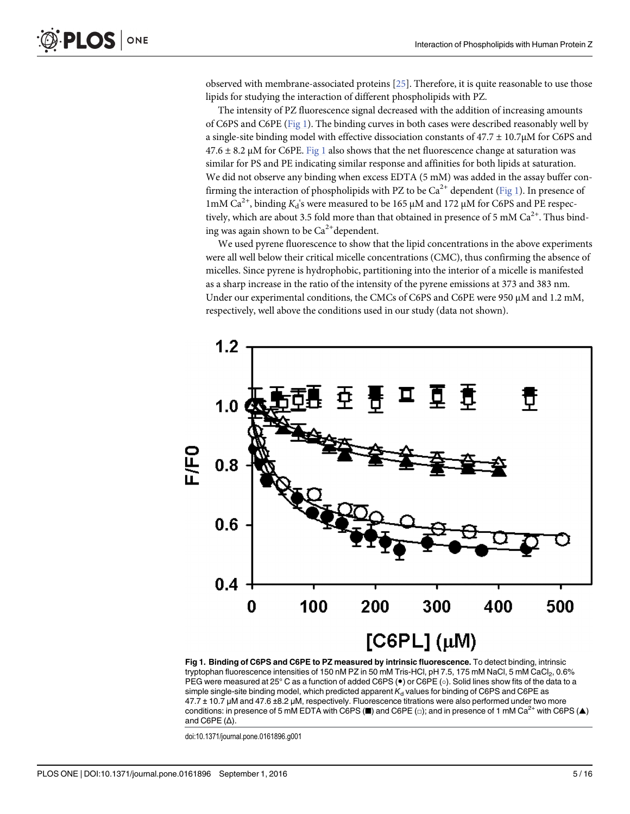observed with membrane-associated proteins [[25\]](#page-15-0). Therefore, it is quite reasonable to use those lipids for studying the interaction of different phospholipids with PZ.

The intensity of PZ fluorescence signal decreased with the addition of increasing amounts of C6PS and C6PE (Fig 1). The binding curves in both cases were described reasonably well by a single-site binding model with effective dissociation constants of  $47.7 \pm 10.7 \mu M$  for C6PS and  $47.6 \pm 8.2 \mu$ M for C6PE. Fig 1 also shows that the net fluorescence change at saturation was similar for PS and PE indicating similar response and affinities for both lipids at saturation. We did not observe any binding when excess EDTA (5 mM) was added in the assay buffer confirming the interaction of phospholipids with PZ to be  $Ca^{2+}$  dependent (Fig 1). In presence of 1mM Ca<sup>2+</sup>, binding K<sub>d</sub>'s were measured to be 165 μM and 172 μM for C6PS and PE respectively, which are about 3.5 fold more than that obtained in presence of 5 mM  $Ca<sup>2+</sup>$ . Thus binding was again shown to be  $Ca^{2+}$ dependent.

We used pyrene fluorescence to show that the lipid concentrations in the above experiments were all well below their critical micelle concentrations (CMC), thus confirming the absence of micelles. Since pyrene is hydrophobic, partitioning into the interior of a micelle is manifested as a sharp increase in the ratio of the intensity of the pyrene emissions at 373 and 383 nm. Under our experimental conditions, the CMCs of C6PS and C6PE were 950 μM and 1.2 mM, respectively, well above the conditions used in our study (data not shown).



Fig 1. Binding of C6PS and C6PE to PZ measured by intrinsic fluorescence. To detect binding, intrinsic tryptophan fluorescence intensities of 150 nM PZ in 50 mM Tris-HCl, pH 7.5, 175 mM NaCl, 5 mM CaCl<sub>2</sub>, 0.6% PEG were measured at 25° C as a function of added C6PS ( $\bullet$ ) or C6PE ( $\circ$ ). Solid lines show fits of the data to a simple single-site binding model, which predicted apparent  $K_d$  values for binding of C6PS and C6PE as 47.7 ± 10.7 μM and 47.6 ±8.2 μM, respectively. Fluorescence titrations were also performed under two more conditions: in presence of 5 mM EDTA with C6PS (■) and C6PE ( $\Box$ ); and in presence of 1 mM Ca<sup>2+</sup> with C6PS (▲) and C6PE  $($ Δ $)$ .

doi:10.1371/journal.pone.0161896.g001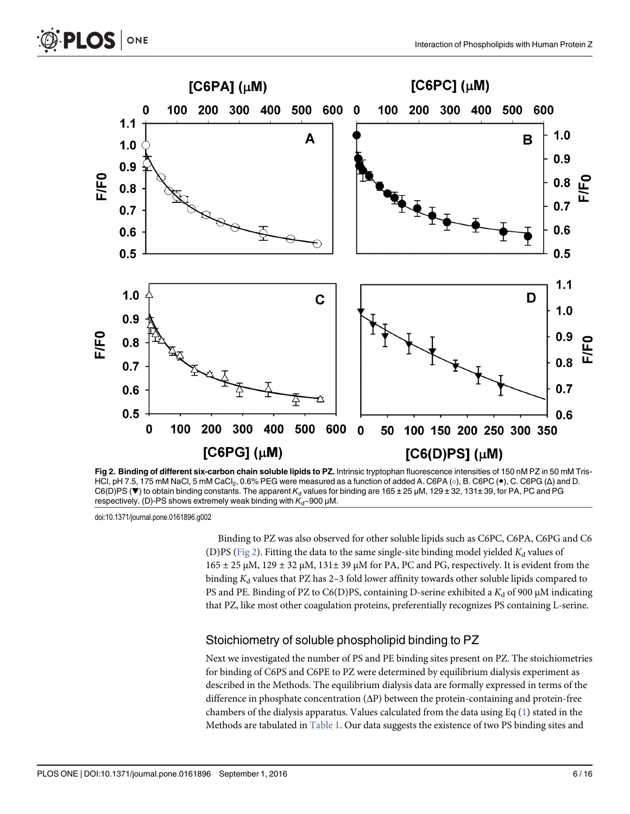<span id="page-5-0"></span>



Fig 2. Binding of different six-carbon chain soluble lipids to PZ. Intrinsic tryptophan fluorescence intensities of 150 nM PZ in 50 mM Tris-HCl, pH 7.5, 175 mM NaCl, 5 mM CaCl<sub>2</sub>, 0.6% PEG were measured as a function of added A. C6PA ( $\circ$ ), B. C6PC ( $\bullet$ ), C. C6PG (Δ) and D.  $CG(D)PS$  ( $\nabla$ ) to obtain binding constants. The apparent  $K_d$  values for binding are 165 ± 25 µM, 129 ± 32, 131± 39, for PA, PC and PG respectively. (D)-PS shows extremely weak binding with  $K_d \sim 900 \mu M$ .

Binding to PZ was also observed for other soluble lipids such as C6PC, C6PA, C6PG and C6 (D)PS (Fig 2). Fitting the data to the same single-site binding model yielded  $K_d$  values of  $165 \pm 25$  μM,  $129 \pm 32$  μM,  $131 \pm 39$  μM for PA, PC and PG, respectively. It is evident from the binding  $K_d$  values that PZ has 2–3 fold lower affinity towards other soluble lipids compared to PS and PE. Binding of PZ to C6(D)PS, containing D-serine exhibited a  $K_d$  of 900  $\mu$ M indicating that PZ, like most other coagulation proteins, preferentially recognizes PS containing L-serine.

#### Stoichiometry of soluble phospholipid binding to PZ

Next we investigated the number of PS and PE binding sites present on PZ. The stoichiometries for binding of C6PS and C6PE to PZ were determined by equilibrium dialysis experiment as described in the Methods. The equilibrium dialysis data are formally expressed in terms of the difference in phosphate concentration (ΔP) between the protein-containing and protein-free chambers of the dialysis apparatus. Values calculated from the data using Eq  $(1)$  $(1)$  stated in the Methods are tabulated in [Table 1](#page-6-0). Our data suggests the existence of two PS binding sites and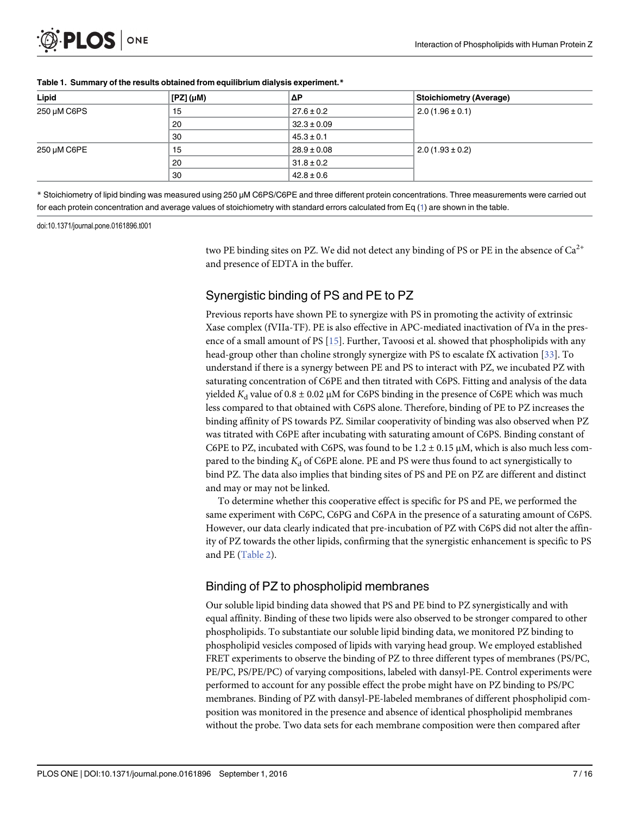<span id="page-6-0"></span>

| Lipid       | $[$ [PZ] ( $\mu$ M) | ιΔP             | Stoichiometry (Average) |
|-------------|---------------------|-----------------|-------------------------|
| 250 µM C6PS | 15                  | $27.6 \pm 0.2$  | $2.0(1.96 \pm 0.1)$     |
|             | 20                  | $32.3 \pm 0.09$ |                         |
|             | 30                  | $45.3 \pm 0.1$  |                         |
| 250 µM C6PE | 15                  | $28.9 \pm 0.08$ | $2.0(1.93 \pm 0.2)$     |
|             | 20                  | $31.8 \pm 0.2$  |                         |
|             | 30                  | $42.8 \pm 0.6$  |                         |

#### [Table 1.](#page-5-0) Summary of the results obtained from equilibrium dialysis experiment.\*

\* Stoichiometry of lipid binding was measured using 250 μM C6PS/C6PE and three different protein concentrations. Three measurements were carried out for each protein concentration and average values of stoichiometry with standard errors calculated from Eq  $(1)$  are shown in the table.

doi:10.1371/journal.pone.0161896.t001

two PE binding sites on PZ. We did not detect any binding of PS or PE in the absence of  $Ca^{2+}$ and presence of EDTA in the buffer.

# Synergistic binding of PS and PE to PZ

Previous reports have shown PE to synergize with PS in promoting the activity of extrinsic Xase complex (fVIIa-TF). PE is also effective in APC-mediated inactivation of fVa in the presence of a small amount of PS [[15](#page-14-0)]. Further, Tavoosi et al. showed that phospholipids with any head-group other than choline strongly synergize with PS to escalate fX activation [\[33\]](#page-15-0). To understand if there is a synergy between PE and PS to interact with PZ, we incubated PZ with saturating concentration of C6PE and then titrated with C6PS. Fitting and analysis of the data yielded  $K_d$  value of 0.8  $\pm$  0.02 µM for C6PS binding in the presence of C6PE which was much less compared to that obtained with C6PS alone. Therefore, binding of PE to PZ increases the binding affinity of PS towards PZ. Similar cooperativity of binding was also observed when PZ was titrated with C6PE after incubating with saturating amount of C6PS. Binding constant of C6PE to PZ, incubated with C6PS, was found to be  $1.2 \pm 0.15 \,\mu$ M, which is also much less compared to the binding  $K_d$  of C6PE alone. PE and PS were thus found to act synergistically to bind PZ. The data also implies that binding sites of PS and PE on PZ are different and distinct and may or may not be linked.

To determine whether this cooperative effect is specific for PS and PE, we performed the same experiment with C6PC, C6PG and C6PA in the presence of a saturating amount of C6PS. However, our data clearly indicated that pre-incubation of PZ with C6PS did not alter the affinity of PZ towards the other lipids, confirming that the synergistic enhancement is specific to PS and PE [\(Table 2](#page-7-0)).

# Binding of PZ to phospholipid membranes

Our soluble lipid binding data showed that PS and PE bind to PZ synergistically and with equal affinity. Binding of these two lipids were also observed to be stronger compared to other phospholipids. To substantiate our soluble lipid binding data, we monitored PZ binding to phospholipid vesicles composed of lipids with varying head group. We employed established FRET experiments to observe the binding of PZ to three different types of membranes (PS/PC, PE/PC, PS/PE/PC) of varying compositions, labeled with dansyl-PE. Control experiments were performed to account for any possible effect the probe might have on PZ binding to PS/PC membranes. Binding of PZ with dansyl-PE-labeled membranes of different phospholipid composition was monitored in the presence and absence of identical phospholipid membranes without the probe. Two data sets for each membrane composition were then compared after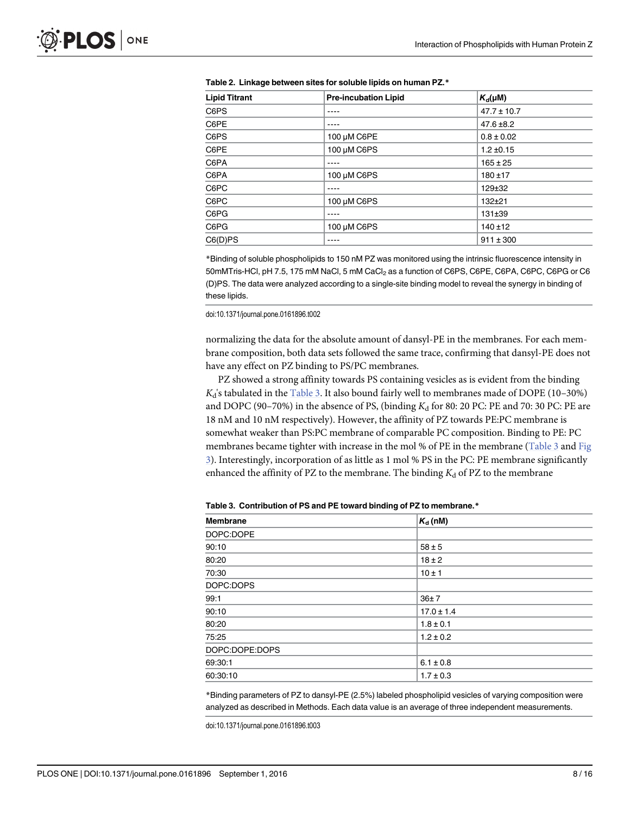| <b>Lipid Titrant</b><br><b>Pre-incubation Lipid</b> |             | $K_d(\mu M)$    |  |
|-----------------------------------------------------|-------------|-----------------|--|
| C6PS                                                |             | $47.7 \pm 10.7$ |  |
| C6PE                                                |             | $47.6 \pm 8.2$  |  |
| C6PS                                                | 100 µM C6PE | $0.8 \pm 0.02$  |  |
| C6PE                                                | 100 µM C6PS | $1.2 \pm 0.15$  |  |
| C6PA                                                |             | $165 \pm 25$    |  |
| C6PA                                                | 100 µM C6PS | $180 + 17$      |  |
| C6PC                                                |             | $129 + 32$      |  |
| C6PC                                                | 100 µM C6PS | $132 + 21$      |  |
| C6PG                                                |             | 131±39          |  |
| C6PG                                                | 100 µM C6PS | $140 + 12$      |  |
| C6(D)PS                                             |             | $911 \pm 300$   |  |

<span id="page-7-0"></span>[Table 2.](#page-6-0) Linkage between sites for soluble lipids on human PZ.\*

\*Binding of soluble phospholipids to 150 nM PZ was monitored using the intrinsic fluorescence intensity in 50mMTris-HCl, pH 7.5, 175 mM NaCl, 5 mM CaCl<sub>2</sub> as a function of C6PS, C6PE, C6PA, C6PC, C6PG or C6 (D)PS. The data were analyzed according to a single-site binding model to reveal the synergy in binding of these lipids.

doi:10.1371/journal.pone.0161896.t002

normalizing the data for the absolute amount of dansyl-PE in the membranes. For each membrane composition, both data sets followed the same trace, confirming that dansyl-PE does not have any effect on PZ binding to PS/PC membranes.

PZ showed a strong affinity towards PS containing vesicles as is evident from the binding  $K_d$ 's tabulated in the Table 3. It also bound fairly well to membranes made of DOPE (10–30%) and DOPC (90-70%) in the absence of PS, (binding  $K_d$  for 80: 20 PC: PE and 70: 30 PC: PE are 18 nM and 10 nM respectively). However, the affinity of PZ towards PE:PC membrane is somewhat weaker than PS:PC membrane of comparable PC composition. Binding to PE: PC membranes became tighter with increase in the mol % of PE in the membrane (Table 3 and [Fig](#page-8-0) [3\)](#page-8-0). Interestingly, incorporation of as little as 1 mol % PS in the PC: PE membrane significantly enhanced the affinity of PZ to the membrane. The binding  $K_d$  of PZ to the membrane

| <b>Membrane</b> | $K_{d}$ (nM)   |
|-----------------|----------------|
| DOPC:DOPE       |                |
| 90:10           | $58 \pm 5$     |
| 80:20           | $18 \pm 2$     |
| 70:30           | $10 \pm 1$     |
| DOPC:DOPS       |                |
| 99:1            | 36±7           |
| 90:10           | $17.0 \pm 1.4$ |
| 80:20           | $1.8 \pm 0.1$  |
| 75:25           | $1.2 \pm 0.2$  |
| DOPC:DOPE:DOPS  |                |
| 69:30:1         | $6.1 \pm 0.8$  |
| 60:30:10        | $1.7 \pm 0.3$  |

Table 3. Contribution of PS and PE toward binding of PZ to membrane.\*

\*Binding parameters of PZ to dansyl-PE (2.5%) labeled phospholipid vesicles of varying composition were analyzed as described in Methods. Each data value is an average of three independent measurements.

doi:10.1371/journal.pone.0161896.t003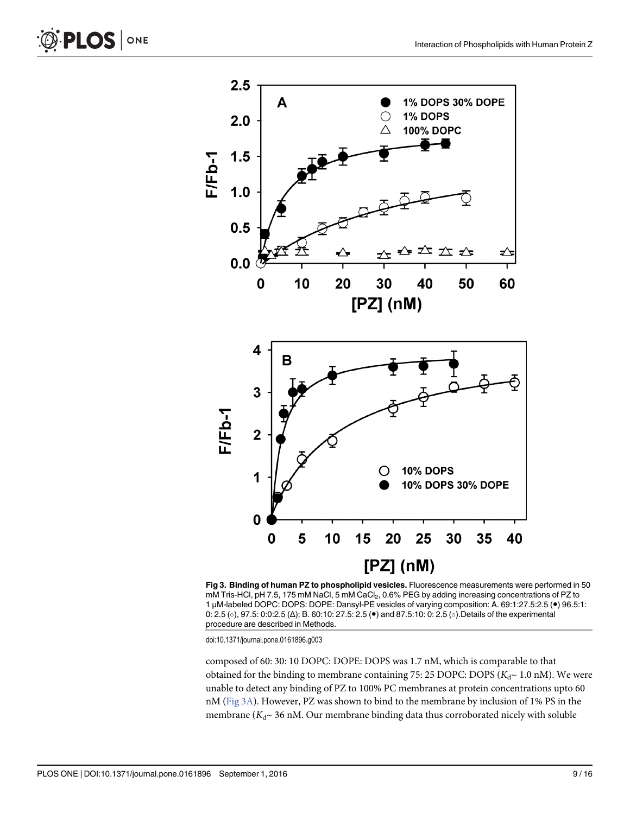<span id="page-8-0"></span>



[Fig 3. B](#page-7-0)inding of human PZ to phospholipid vesicles. Fluorescence measurements were performed in 50 mM Tris-HCl, pH 7.5, 175 mM NaCl, 5 mM CaCl<sub>2</sub>, 0.6% PEG by adding increasing concentrations of PZ to 1 μM-labeled DOPC: DOPS: DOPE: Dansyl-PE vesicles of varying composition: A. 69:1:27.5:2.5 (●) 96.5:1: 0: 2.5 (○), 97.5: 0:0:2.5 (△); B. 60:10: 27.5: 2.5 (●) and 87.5:10: 0: 2.5 (○). Details of the experimental procedure are described in Methods.

composed of 60: 30: 10 DOPC: DOPE: DOPS was 1.7 nM, which is comparable to that obtained for the binding to membrane containing 75: 25 DOPC: DOPS ( $K<sub>d</sub>$  - 1.0 nM). We were unable to detect any binding of PZ to 100% PC membranes at protein concentrations upto 60 nM (Fig 3A). However, PZ was shown to bind to the membrane by inclusion of 1% PS in the membrane ( $K_d \sim 36$  nM. Our membrane binding data thus corroborated nicely with soluble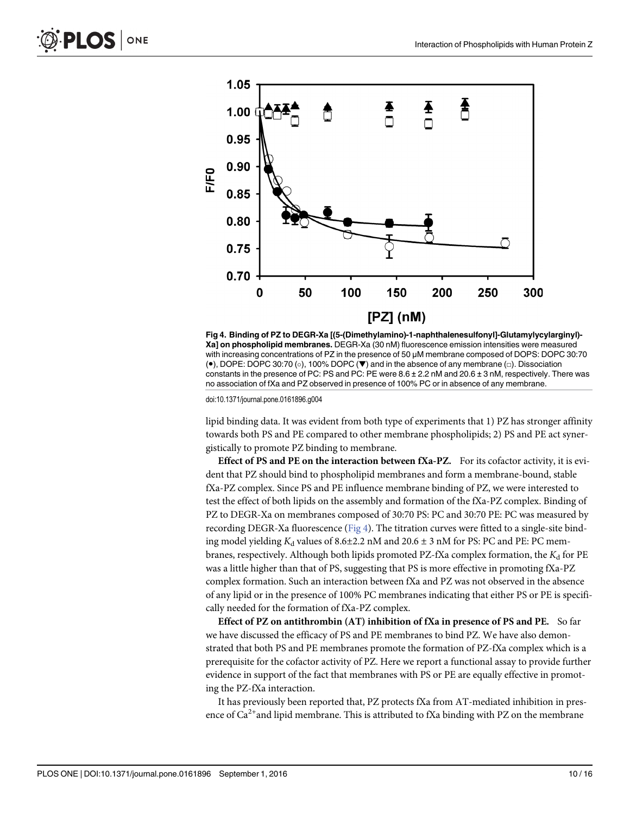



Fig 4. Binding of PZ to DEGR-Xa [(5-(Dimethylamino)-1-naphthalenesulfonyl]-Glutamylycylarginyl)- Xa] on phospholipid membranes. DEGR-Xa (30 nM) fluorescence emission intensities were measured with increasing concentrations of PZ in the presence of 50 μM membrane composed of DOPS: DOPC 30:70 (•), DOPE: DOPC 30:70 (○), 100% DOPC (▼) and in the absence of any membrane (□). Dissociation constants in the presence of PC: PS and PC: PE were 8.6 ± 2.2 nM and 20.6 ± 3 nM, respectively. There was no association of fXa and PZ observed in presence of 100% PC or in absence of any membrane.

lipid binding data. It was evident from both type of experiments that 1) PZ has stronger affinity towards both PS and PE compared to other membrane phospholipids; 2) PS and PE act synergistically to promote PZ binding to membrane.

Effect of PS and PE on the interaction between fXa-PZ. For its cofactor activity, it is evident that PZ should bind to phospholipid membranes and form a membrane-bound, stable fXa-PZ complex. Since PS and PE influence membrane binding of PZ, we were interested to test the effect of both lipids on the assembly and formation of the fXa-PZ complex. Binding of PZ to DEGR-Xa on membranes composed of 30:70 PS: PC and 30:70 PE: PC was measured by recording DEGR-Xa fluorescence ( $Fig 4$ ). The titration curves were fitted to a single-site binding model yielding  $K_d$  values of 8.6±2.2 nM and 20.6 ± 3 nM for PS: PC and PE: PC membranes, respectively. Although both lipids promoted PZ-fXa complex formation, the  $K_d$  for PE was a little higher than that of PS, suggesting that PS is more effective in promoting fXa-PZ complex formation. Such an interaction between fXa and PZ was not observed in the absence of any lipid or in the presence of 100% PC membranes indicating that either PS or PE is specifically needed for the formation of fXa-PZ complex.

Effect of PZ on antithrombin (AT) inhibition of fXa in presence of PS and PE. So far we have discussed the efficacy of PS and PE membranes to bind PZ. We have also demonstrated that both PS and PE membranes promote the formation of PZ-fXa complex which is a prerequisite for the cofactor activity of PZ. Here we report a functional assay to provide further evidence in support of the fact that membranes with PS or PE are equally effective in promoting the PZ-fXa interaction.

It has previously been reported that, PZ protects fXa from AT-mediated inhibition in presence of  $Ca^{2+}$ and lipid membrane. This is attributed to fXa binding with PZ on the membrane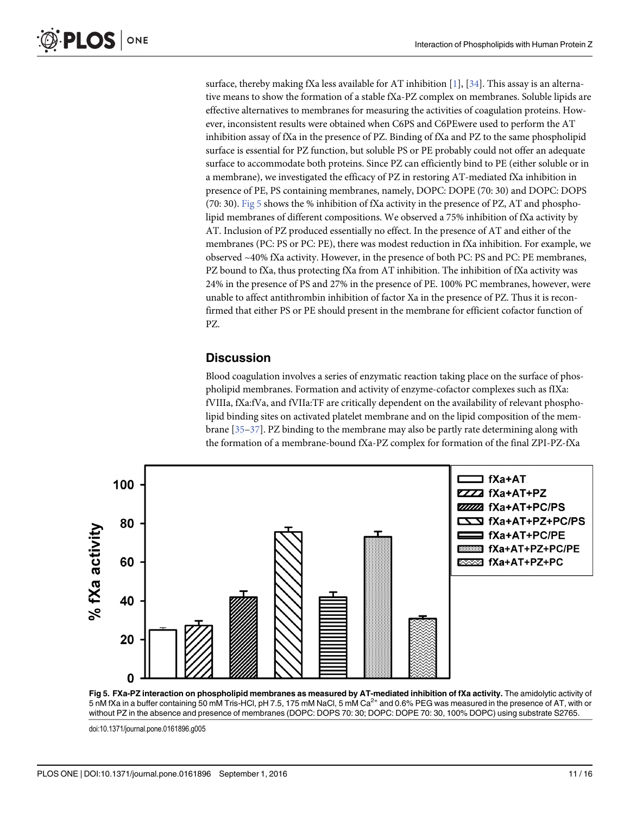<span id="page-10-0"></span>surface, thereby making fXa less available for AT inhibition [\[1\]](#page-13-0), [\[34\]](#page-15-0). This assay is an alternative means to show the formation of a stable fXa-PZ complex on membranes. Soluble lipids are effective alternatives to membranes for measuring the activities of coagulation proteins. However, inconsistent results were obtained when C6PS and C6PEwere used to perform the AT inhibition assay of fXa in the presence of PZ. Binding of fXa and PZ to the same phospholipid surface is essential for PZ function, but soluble PS or PE probably could not offer an adequate surface to accommodate both proteins. Since PZ can efficiently bind to PE (either soluble or in a membrane), we investigated the efficacy of PZ in restoring AT-mediated fXa inhibition in presence of PE, PS containing membranes, namely, DOPC: DOPE (70: 30) and DOPC: DOPS (70: 30). Fig 5 shows the % inhibition of fXa activity in the presence of PZ, AT and phospholipid membranes of different compositions. We observed a 75% inhibition of fXa activity by AT. Inclusion of PZ produced essentially no effect. In the presence of AT and either of the membranes (PC: PS or PC: PE), there was modest reduction in fXa inhibition. For example, we observed ~40% fXa activity. However, in the presence of both PC: PS and PC: PE membranes, PZ bound to fXa, thus protecting fXa from AT inhibition. The inhibition of fXa activity was 24% in the presence of PS and 27% in the presence of PE. 100% PC membranes, however, were unable to affect antithrombin inhibition of factor Xa in the presence of PZ. Thus it is reconfirmed that either PS or PE should present in the membrane for efficient cofactor function of PZ.

#### **Discussion**

Blood coagulation involves a series of enzymatic reaction taking place on the surface of phospholipid membranes. Formation and activity of enzyme-cofactor complexes such as fIXa: fVIIIa, fXa:fVa, and fVIIa:TF are critically dependent on the availability of relevant phospholipid binding sites on activated platelet membrane and on the lipid composition of the membrane  $[35-37]$  $[35-37]$  $[35-37]$ . PZ binding to the membrane may also be partly rate determining along with the formation of a membrane-bound fXa-PZ complex for formation of the final ZPI-PZ-fXa





doi:10.1371/journal.pone.0161896.g005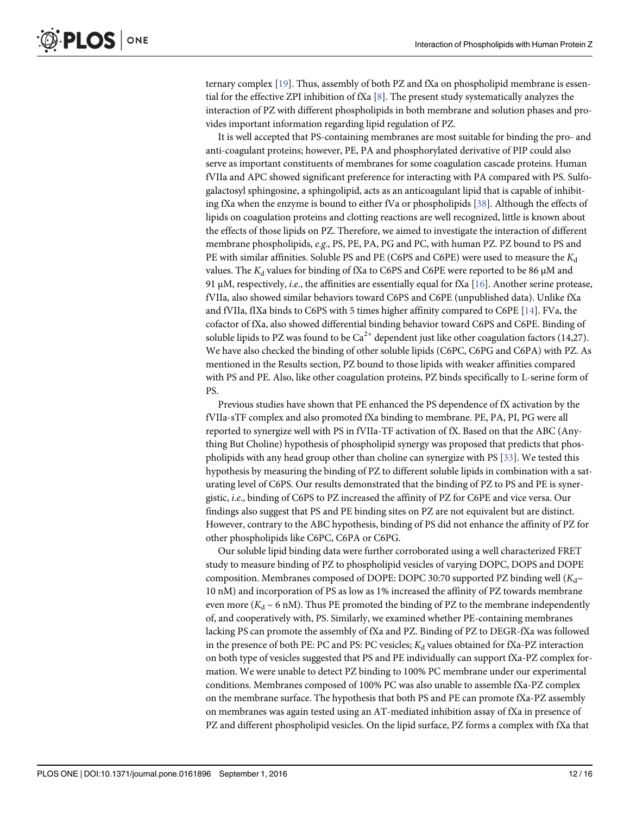<span id="page-11-0"></span>ternary complex [[19](#page-14-0)]. Thus, assembly of both PZ and fXa on phospholipid membrane is essential for the effective ZPI inhibition of fXa  $[8]$  $[8]$  $[8]$ . The present study systematically analyzes the interaction of PZ with different phospholipids in both membrane and solution phases and provides important information regarding lipid regulation of PZ.

It is well accepted that PS-containing membranes are most suitable for binding the pro- and anti-coagulant proteins; however, PE, PA and phosphorylated derivative of PIP could also serve as important constituents of membranes for some coagulation cascade proteins. Human fVIIa and APC showed significant preference for interacting with PA compared with PS. Sulfogalactosyl sphingosine, a sphingolipid, acts as an anticoagulant lipid that is capable of inhibiting fXa when the enzyme is bound to either fVa or phospholipids [[38](#page-15-0)]. Although the effects of lipids on coagulation proteins and clotting reactions are well recognized, little is known about the effects of those lipids on PZ. Therefore, we aimed to investigate the interaction of different membrane phospholipids, e.g., PS, PE, PA, PG and PC, with human PZ. PZ bound to PS and PE with similar affinities. Soluble PS and PE (C6PS and C6PE) were used to measure the  $K_d$ values. The  $K_d$  values for binding of fXa to C6PS and C6PE were reported to be 86  $\mu$ M and 91 μM, respectively, *i.e.*, the affinities are essentially equal for fXa [[16](#page-14-0)]. Another serine protease, fVIIa, also showed similar behaviors toward C6PS and C6PE (unpublished data). Unlike fXa and fVIIa, fIXa binds to C6PS with 5 times higher affinity compared to C6PE  $[14]$  $[14]$ . FVa, the cofactor of fXa, also showed differential binding behavior toward C6PS and C6PE. Binding of soluble lipids to PZ was found to be  $Ca^{2+}$  dependent just like other coagulation factors (14,27). We have also checked the binding of other soluble lipids (C6PC, C6PG and C6PA) with PZ. As mentioned in the Results section, PZ bound to those lipids with weaker affinities compared with PS and PE. Also, like other coagulation proteins, PZ binds specifically to L-serine form of PS.

Previous studies have shown that PE enhanced the PS dependence of fX activation by the fVIIa-sTF complex and also promoted fXa binding to membrane. PE, PA, PI, PG were all reported to synergize well with PS in fVIIa-TF activation of fX. Based on that the ABC (Anything But Choline) hypothesis of phospholipid synergy was proposed that predicts that phospholipids with any head group other than choline can synergize with PS [[33](#page-15-0)]. We tested this hypothesis by measuring the binding of PZ to different soluble lipids in combination with a saturating level of C6PS. Our results demonstrated that the binding of PZ to PS and PE is synergistic, i.e., binding of C6PS to PZ increased the affinity of PZ for C6PE and vice versa. Our findings also suggest that PS and PE binding sites on PZ are not equivalent but are distinct. However, contrary to the ABC hypothesis, binding of PS did not enhance the affinity of PZ for other phospholipids like C6PC, C6PA or C6PG.

Our soluble lipid binding data were further corroborated using a well characterized FRET study to measure binding of PZ to phospholipid vesicles of varying DOPC, DOPS and DOPE composition. Membranes composed of DOPE: DOPC 30:70 supported PZ binding well  $(K_d \sim$ 10 nM) and incorporation of PS as low as 1% increased the affinity of PZ towards membrane even more ( $K_d \sim 6$  nM). Thus PE promoted the binding of PZ to the membrane independently of, and cooperatively with, PS. Similarly, we examined whether PE-containing membranes lacking PS can promote the assembly of fXa and PZ. Binding of PZ to DEGR-fXa was followed in the presence of both PE: PC and PS: PC vesicles;  $K_d$  values obtained for fXa-PZ interaction on both type of vesicles suggested that PS and PE individually can support fXa-PZ complex formation. We were unable to detect PZ binding to 100% PC membrane under our experimental conditions. Membranes composed of 100% PC was also unable to assemble fXa-PZ complex on the membrane surface. The hypothesis that both PS and PE can promote fXa-PZ assembly on membranes was again tested using an AT-mediated inhibition assay of fXa in presence of PZ and different phospholipid vesicles. On the lipid surface, PZ forms a complex with fXa that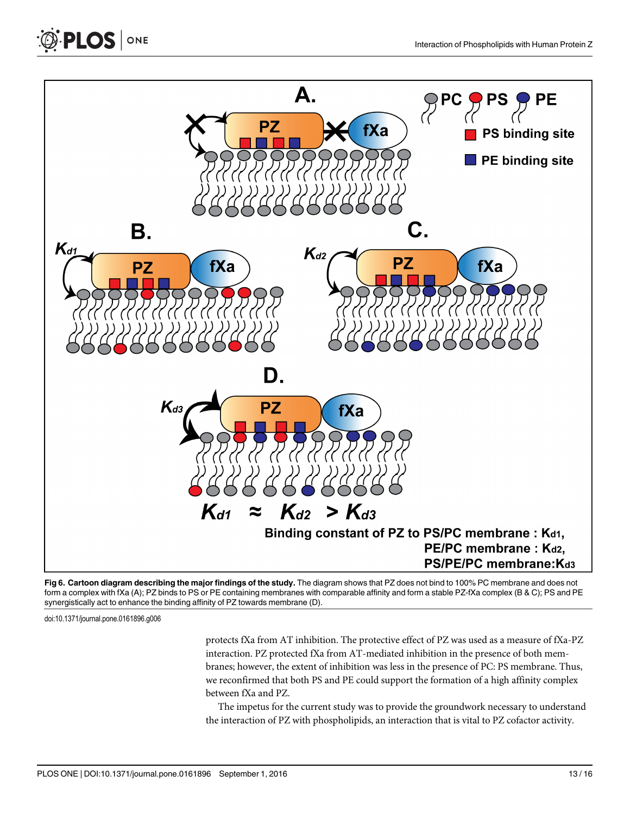<span id="page-12-0"></span>



[Fig 6. C](#page-13-0)artoon diagram describing the major findings of the study. The diagram shows that PZ does not bind to 100% PC membrane and does not form a complex with fXa (A); PZ binds to PS or PE containing membranes with comparable affinity and form a stable PZ-fXa complex (B & C); PS and PE synergistically act to enhance the binding affinity of PZ towards membrane (D).

protects fXa from AT inhibition. The protective effect of PZ was used as a measure of fXa-PZ interaction. PZ protected fXa from AT-mediated inhibition in the presence of both membranes; however, the extent of inhibition was less in the presence of PC: PS membrane. Thus, we reconfirmed that both PS and PE could support the formation of a high affinity complex between fXa and PZ.

The impetus for the current study was to provide the groundwork necessary to understand the interaction of PZ with phospholipids, an interaction that is vital to PZ cofactor activity.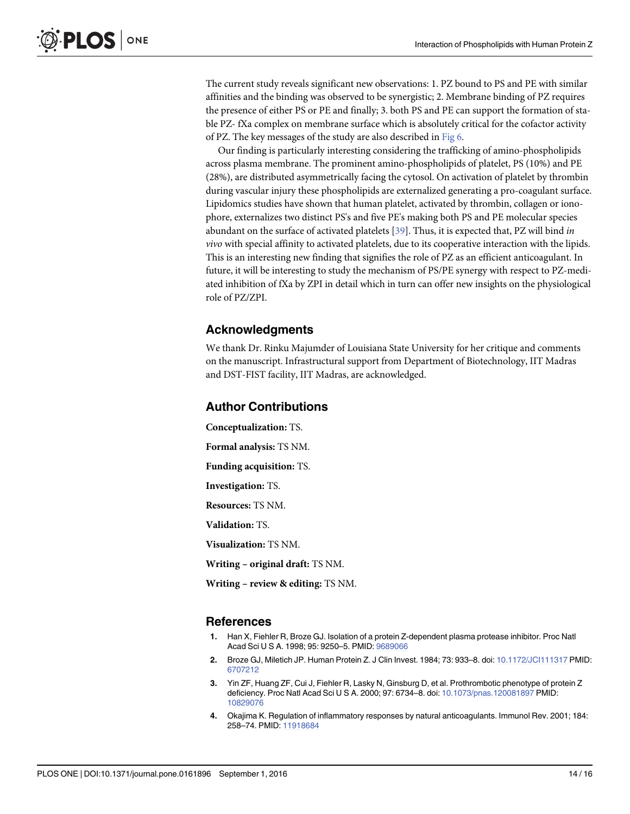<span id="page-13-0"></span>The current study reveals significant new observations: 1. PZ bound to PS and PE with similar affinities and the binding was observed to be synergistic; 2. Membrane binding of PZ requires the presence of either PS or PE and finally; 3. both PS and PE can support the formation of stable PZ- fXa complex on membrane surface which is absolutely critical for the cofactor activity of PZ. The key messages of the study are also described in [Fig 6.](#page-12-0)

Our finding is particularly interesting considering the trafficking of amino-phospholipids across plasma membrane. The prominent amino-phospholipids of platelet, PS (10%) and PE (28%), are distributed asymmetrically facing the cytosol. On activation of platelet by thrombin during vascular injury these phospholipids are externalized generating a pro-coagulant surface. Lipidomics studies have shown that human platelet, activated by thrombin, collagen or ionophore, externalizes two distinct PS's and five PE's making both PS and PE molecular species abundant on the surface of activated platelets [\[39\]](#page-15-0). Thus, it is expected that, PZ will bind in vivo with special affinity to activated platelets, due to its cooperative interaction with the lipids. This is an interesting new finding that signifies the role of PZ as an efficient anticoagulant. In future, it will be interesting to study the mechanism of PS/PE synergy with respect to PZ-mediated inhibition of fXa by ZPI in detail which in turn can offer new insights on the physiological role of PZ/ZPI.

#### Acknowledgments

We thank Dr. Rinku Majumder of Louisiana State University for her critique and comments on the manuscript. Infrastructural support from Department of Biotechnology, IIT Madras and DST-FIST facility, IIT Madras, are acknowledged.

#### Author Contributions

Conceptualization: TS.

Formal analysis: TS NM.

Funding acquisition: TS.

Investigation: TS.

Resources: TS NM.

Validation: TS.

Visualization: TS NM.

Writing – original draft: TS NM.

Writing – review & editing: TS NM.

#### References

- [1.](#page-0-0) Han X, Fiehler R, Broze GJ. Isolation of a protein Z-dependent plasma protease inhibitor. Proc Natl Acad Sci U S A. 1998; 95: 9250–5. PMID: [9689066](http://www.ncbi.nlm.nih.gov/pubmed/9689066)
- [2.](#page-0-0) Broze GJ, Miletich JP. Human Protein Z. J Clin Invest. 1984; 73: 933–8. doi: [10.1172/JCI111317](http://dx.doi.org/10.1172/JCI111317) PMID: [6707212](http://www.ncbi.nlm.nih.gov/pubmed/6707212)
- [3.](#page-0-0) Yin ZF, Huang ZF, Cui J, Fiehler R, Lasky N, Ginsburg D, et al. Prothrombotic phenotype of protein Z deficiency. Proc Natl Acad Sci U S A. 2000; 97: 6734–8. doi: [10.1073/pnas.120081897](http://dx.doi.org/10.1073/pnas.120081897) PMID: [10829076](http://www.ncbi.nlm.nih.gov/pubmed/10829076)
- [4.](#page-1-0) Okajima K. Regulation of inflammatory responses by natural anticoagulants. Immunol Rev. 2001; 184: 258–74. PMID: [11918684](http://www.ncbi.nlm.nih.gov/pubmed/11918684)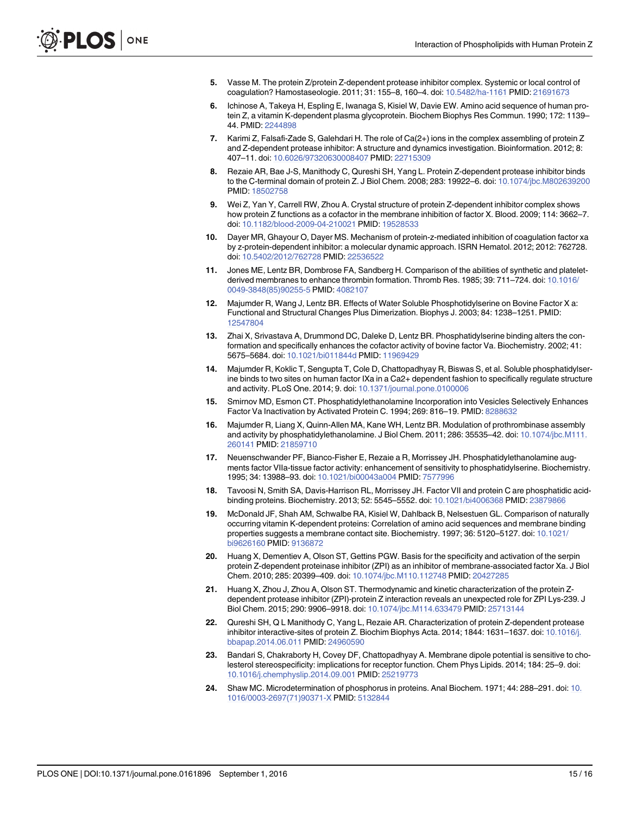- <span id="page-14-0"></span>[5.](#page-1-0) Vasse M. The protein Z/protein Z-dependent protease inhibitor complex. Systemic or local control of coagulation? Hamostaseologie. 2011; 31: 155–8, 160–4. doi: [10.5482/ha-1161](http://dx.doi.org/10.5482/ha-1161) PMID: [21691673](http://www.ncbi.nlm.nih.gov/pubmed/21691673)
- [6.](#page-1-0) Ichinose A, Takeya H, Espling E, Iwanaga S, Kisiel W, Davie EW. Amino acid sequence of human protein Z, a vitamin K-dependent plasma glycoprotein. Biochem Biophys Res Commun. 1990; 172: 1139– 44. PMID: [2244898](http://www.ncbi.nlm.nih.gov/pubmed/2244898)
- [7.](#page-1-0) Karimi Z, Falsafi-Zade S, Galehdari H. The role of Ca(2+) ions in the complex assembling of protein Z and Z-dependent protease inhibitor: A structure and dynamics investigation. Bioinformation. 2012; 8: 407–11. doi: [10.6026/97320630008407](http://dx.doi.org/10.6026/97320630008407) PMID: [22715309](http://www.ncbi.nlm.nih.gov/pubmed/22715309)
- [8.](#page-1-0) Rezaie AR, Bae J-S, Manithody C, Qureshi SH, Yang L. Protein Z-dependent protease inhibitor binds to the C-terminal domain of protein Z. J Biol Chem. 2008; 283: 19922–6. doi: [10.1074/jbc.M802639200](http://dx.doi.org/10.1074/jbc.M802639200) PMID: [18502758](http://www.ncbi.nlm.nih.gov/pubmed/18502758)
- [9.](#page-1-0) Wei Z, Yan Y, Carrell RW, Zhou A. Crystal structure of protein Z-dependent inhibitor complex shows how protein Z functions as a cofactor in the membrane inhibition of factor X. Blood. 2009; 114: 3662–7. doi: [10.1182/blood-2009-04-210021](http://dx.doi.org/10.1182/blood-2009-04-210021) PMID: [19528533](http://www.ncbi.nlm.nih.gov/pubmed/19528533)
- [10.](#page-1-0) Dayer MR, Ghayour O, Dayer MS. Mechanism of protein-z-mediated inhibition of coagulation factor xa by z-protein-dependent inhibitor: a molecular dynamic approach. ISRN Hematol. 2012; 2012: 762728. doi: [10.5402/2012/762728](http://dx.doi.org/10.5402/2012/762728) PMID: [22536522](http://www.ncbi.nlm.nih.gov/pubmed/22536522)
- [11.](#page-1-0) Jones ME, Lentz BR, Dombrose FA, Sandberg H. Comparison of the abilities of synthetic and plateletderived membranes to enhance thrombin formation. Thromb Res. 1985; 39: 711–724. doi: [10.1016/](http://dx.doi.org/10.1016/0049-3848(85)90255-5) [0049-3848\(85\)90255-5](http://dx.doi.org/10.1016/0049-3848(85)90255-5) PMID: [4082107](http://www.ncbi.nlm.nih.gov/pubmed/4082107)
- [12.](#page-1-0) Majumder R, Wang J, Lentz BR. Effects of Water Soluble Phosphotidylserine on Bovine Factor X a: Functional and Structural Changes Plus Dimerization. Biophys J. 2003; 84: 1238–1251. PMID: [12547804](http://www.ncbi.nlm.nih.gov/pubmed/12547804)
- 13. Zhai X, Srivastava A, Drummond DC, Daleke D, Lentz BR. Phosphatidylserine binding alters the conformation and specifically enhances the cofactor activity of bovine factor Va. Biochemistry. 2002; 41: 5675–5684. doi: [10.1021/bi011844d](http://dx.doi.org/10.1021/bi011844d) PMID: [11969429](http://www.ncbi.nlm.nih.gov/pubmed/11969429)
- [14.](#page-1-0) Majumder R, Koklic T, Sengupta T, Cole D, Chattopadhyay R, Biswas S, et al. Soluble phosphatidylserine binds to two sites on human factor IXa in a Ca2+ dependent fashion to specifically regulate structure and activity. PLoS One. 2014; 9. doi: [10.1371/journal.pone.0100006](http://dx.doi.org/10.1371/journal.pone.0100006)
- [15.](#page-1-0) Smirnov MD, Esmon CT. Phosphatidylethanolamine Incorporation into Vesicles Selectively Enhances Factor Va Inactivation by Activated Protein C. 1994; 269: 816–19. PMID: [8288632](http://www.ncbi.nlm.nih.gov/pubmed/8288632)
- [16.](#page-1-0) Majumder R, Liang X, Quinn-Allen MA, Kane WH, Lentz BR. Modulation of prothrombinase assembly and activity by phosphatidylethanolamine. J Biol Chem. 2011; 286: 35535-42. doi: [10.1074/jbc.M111.](http://dx.doi.org/10.1074/jbc.M111.260141) [260141](http://dx.doi.org/10.1074/jbc.M111.260141) PMID: [21859710](http://www.ncbi.nlm.nih.gov/pubmed/21859710)
- [17.](#page-1-0) Neuenschwander PF, Bianco-Fisher E, Rezaie a R, Morrissey JH. Phosphatidylethanolamine augments factor VIIa-tissue factor activity: enhancement of sensitivity to phosphatidylserine. Biochemistry. 1995; 34: 13988–93. doi: [10.1021/bi00043a004](http://dx.doi.org/10.1021/bi00043a004) PMID: [7577996](http://www.ncbi.nlm.nih.gov/pubmed/7577996)
- [18.](#page-1-0) Tavoosi N, Smith SA, Davis-Harrison RL, Morrissey JH. Factor VII and protein C are phosphatidic acidbinding proteins. Biochemistry. 2013; 52: 5545–5552. doi: [10.1021/bi4006368](http://dx.doi.org/10.1021/bi4006368) PMID: [23879866](http://www.ncbi.nlm.nih.gov/pubmed/23879866)
- [19.](#page-1-0) McDonald JF, Shah AM, Schwalbe RA, Kisiel W, Dahlback B, Nelsestuen GL. Comparison of naturally occurring vitamin K-dependent proteins: Correlation of amino acid sequences and membrane binding properties suggests a membrane contact site. Biochemistry. 1997; 36: 5120–5127. doi: [10.1021/](http://dx.doi.org/10.1021/bi9626160) [bi9626160](http://dx.doi.org/10.1021/bi9626160) PMID: [9136872](http://www.ncbi.nlm.nih.gov/pubmed/9136872)
- [20.](#page-1-0) Huang X, Dementiev A, Olson ST, Gettins PGW. Basis for the specificity and activation of the serpin protein Z-dependent proteinase inhibitor (ZPI) as an inhibitor of membrane-associated factor Xa. J Biol Chem. 2010; 285: 20399–409. doi: [10.1074/jbc.M110.112748](http://dx.doi.org/10.1074/jbc.M110.112748) PMID: [20427285](http://www.ncbi.nlm.nih.gov/pubmed/20427285)
- 21. Huang X, Zhou J, Zhou A, Olson ST. Thermodynamic and kinetic characterization of the protein Zdependent protease inhibitor (ZPI)-protein Z interaction reveals an unexpected role for ZPI Lys-239. J Biol Chem. 2015; 290: 9906–9918. doi: [10.1074/jbc.M114.633479](http://dx.doi.org/10.1074/jbc.M114.633479) PMID: [25713144](http://www.ncbi.nlm.nih.gov/pubmed/25713144)
- [22.](#page-1-0) Qureshi SH, Q L Manithody C, Yang L, Rezaie AR. Characterization of protein Z-dependent protease inhibitor interactive-sites of protein Z. Biochim Biophys Acta. 2014; 1844: 1631–1637. doi: [10.1016/j.](http://dx.doi.org/10.1016/j.bbapap.2014.06.011) [bbapap.2014.06.011](http://dx.doi.org/10.1016/j.bbapap.2014.06.011) PMID: [24960590](http://www.ncbi.nlm.nih.gov/pubmed/24960590)
- [23.](#page-2-0) Bandari S, Chakraborty H, Covey DF, Chattopadhyay A. Membrane dipole potential is sensitive to cholesterol stereospecificity: implications for receptor function. Chem Phys Lipids. 2014; 184: 25–9. doi: [10.1016/j.chemphyslip.2014.09.001](http://dx.doi.org/10.1016/j.chemphyslip.2014.09.001) PMID: [25219773](http://www.ncbi.nlm.nih.gov/pubmed/25219773)
- [24.](#page-2-0) Shaw MC. Microdetermination of phosphorus in proteins. Anal Biochem. 1971; 44: 288–291. doi: [10.](http://dx.doi.org/10.1016/0003-2697(71)90371-X) [1016/0003-2697\(71\)90371-X](http://dx.doi.org/10.1016/0003-2697(71)90371-X) PMID: [5132844](http://www.ncbi.nlm.nih.gov/pubmed/5132844)